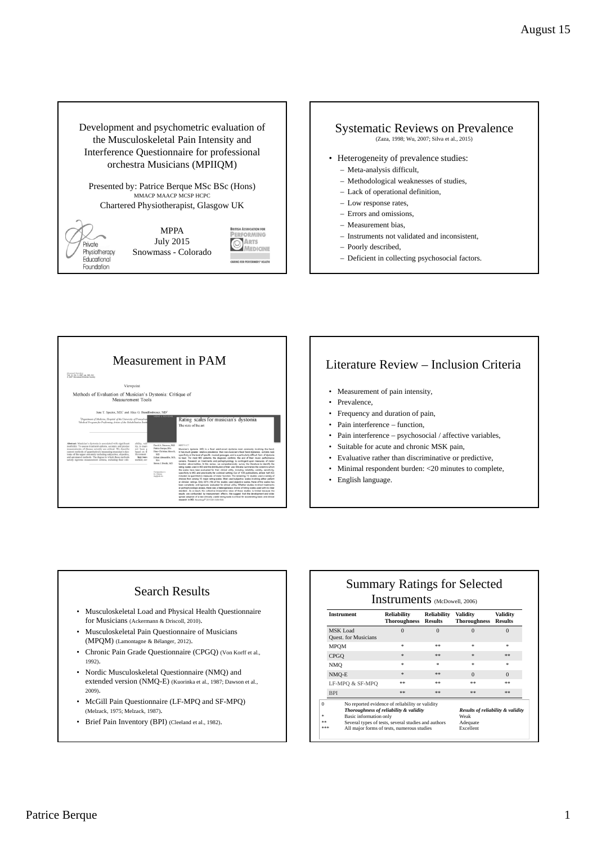Development and psychometric evaluation of the Musculoskeletal Pain Intensity and Interference Questionnaire for professional orchestra Musicians (MPIIQM)

Presented by: Patrice Berque MSc BSc (Hons)<br>MMACP MAACP MCSP HCPC Chartered Physiotherapist, Glasgow UK

> FORMING ARTS

MEDICINE



#### Systematic Reviews on Prevalence (Zaza, 1998; Wu, 2007; Silva et al., 2015)

- Heterogeneity of prevalence studies:
	- Meta-analysis difficult,
	- Methodological weaknesses of studies,
	- Lack of operational definition,
	- Low response rates,
	- Errors and omissions,
	- Measurement bias,
	- Instruments not validated and inconsistent,
	- Poorly described,
- Deficient in collecting psychosocial factors.



- Measurement of pain intensity,
- Prevalence,
- Frequency and duration of pain,
- Pain interference function,
- Pain interference psychosocial / affective variables,
- Suitable for acute and chronic MSK pain,
- Evaluative rather than discriminative or predictive,
- Minimal respondent burden: <20 minutes to complete,
- English language.

#### Search Results

- Musculoskeletal Load and Physical Health Questionnaire for Musicians (Ackermann & Driscoll, 2010).
- Musculoskeletal Pain Questionnaire of Musicians (MPQM) (Lamontagne & Bélanger, 2012).
- Chronic Pain Grade Questionnaire (CPGQ) (Von Korff et al., 1992).
- Nordic Musculoskeletal Questionnaire (NMQ) and extended version (NMQ-E) (Kuorinka et al., 1987; Dawson et al., 2009).
- McGill Pain Questionnaire (LF-MPQ and SF-MPQ) (Melzack, 1975; Melzack, 1987).
- Brief Pain Inventory (BPI) (Cleeland et al., 1982).

# Summary Ratings for Selected

#### Instruments (McDowell, 2006)

| <b>Instrument</b>                | <b>Reliability</b><br><b>Thoroughness</b>                                                                                                                                                      | <b>Reliability</b><br><b>Results</b> | <b>Validity</b><br><b>Thoroughness</b>                             | Validity<br><b>Results</b> |
|----------------------------------|------------------------------------------------------------------------------------------------------------------------------------------------------------------------------------------------|--------------------------------------|--------------------------------------------------------------------|----------------------------|
| MSK Load<br>Quest. for Musicians | $\Omega$                                                                                                                                                                                       | $\Omega$                             | $\Omega$                                                           | $\overline{0}$             |
| MPOM                             | $\ast$                                                                                                                                                                                         | 宗宗                                   | $\ast$                                                             | $\ast$                     |
| <b>CPGO</b>                      | $\ast$                                                                                                                                                                                         | **                                   | $\ast$                                                             | **                         |
| NMO                              | $\ast$                                                                                                                                                                                         | $\ast$                               | $\ast$                                                             | $\ast$                     |
| NMO-E                            | $\frac{1}{26}$                                                                                                                                                                                 | **                                   | $\Omega$                                                           | $\Omega$                   |
| LF-MPO & SF-MPO                  | **                                                                                                                                                                                             | 宗宗                                   | 宗宗                                                                 | 宗宗                         |
| <b>BPI</b>                       | **                                                                                                                                                                                             | **                                   | 宗宗                                                                 | **                         |
| Basic information only<br>会会会    | No reported evidence of reliability or validity<br>Thoroughness of reliability & validity<br>Several types of tests, several studies and authors<br>All major forms of tests, numerous studies |                                      | Results of reliability & validity<br>Weak<br>Adequate<br>Excellent |                            |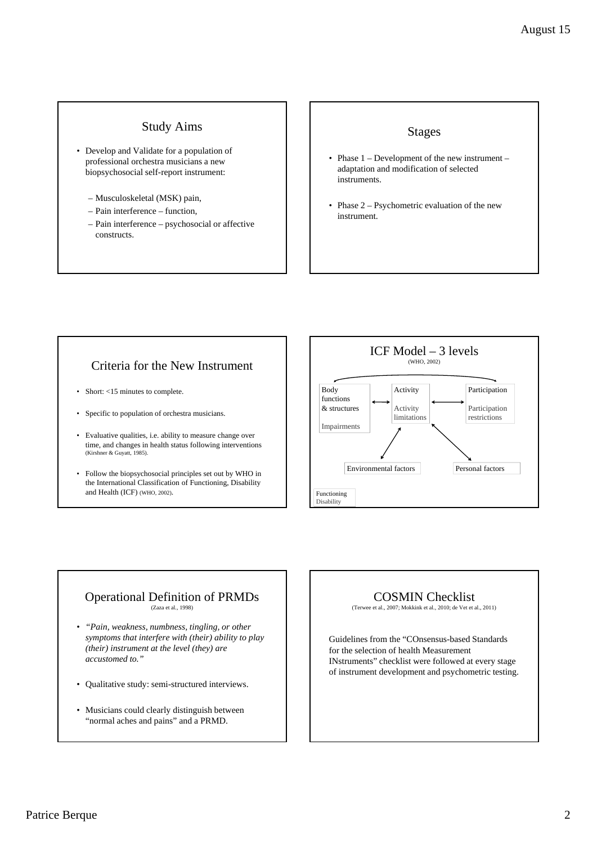#### Study Aims

- Develop and Validate for a population of professional orchestra musicians a new biopsychosocial self-report instrument:
	- Musculoskeletal (MSK) pain,
	- Pain interference function,
	- Pain interference psychosocial or affective constructs.

#### Stages

- Phase  $1$  Development of the new instrument adaptation and modification of selected instruments.
- Phase 2 Psychometric evaluation of the new instrument.

## Criteria for the New Instrument

- Short: <15 minutes to complete.
- Specific to population of orchestra musicians.
- Evaluative qualities, i.e. ability to measure change over time, and changes in health status following interventions (Kirshner & Guyatt, 1985).
- Follow the biopsychosocial principles set out by WHO in the International Classification of Functioning, Disability and Health (ICF) (WHO, 2002).



#### Operational Definition of PRMDs (Zaza et al., 1998)

- *"Pain, weakness, numbness, tingling, or other symptoms that interfere with (their) ability to play (their) instrument at the level (they) are accustomed to."*
- Qualitative study: semi-structured interviews.
- Musicians could clearly distinguish between "normal aches and pains" and a PRMD.

### COSMIN Checklist

(Terwee et al., 2007; Mokkink et al., 2010; de Vet et al., 2011)

Guidelines from the "COnsensus-based Standards for the selection of health Measurement INstruments" checklist were followed at every stage of instrument development and psychometric testing.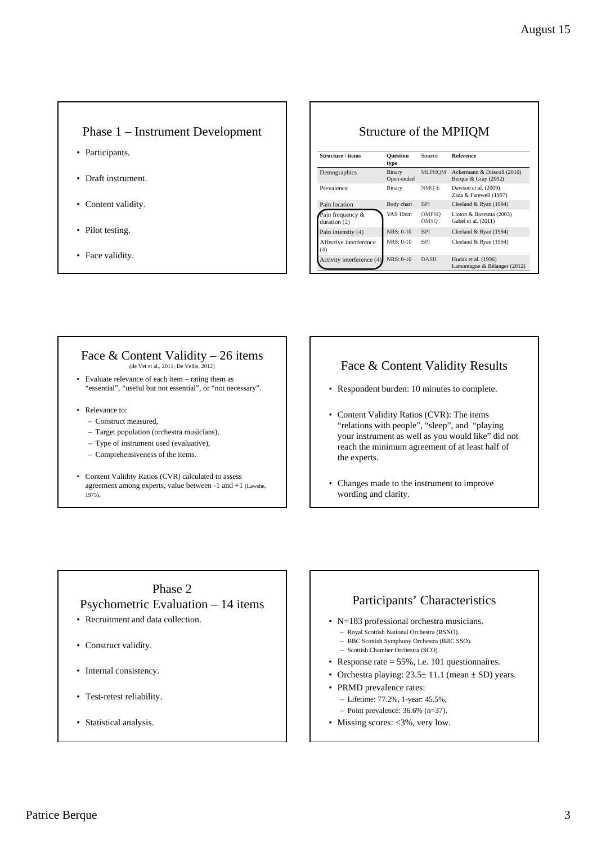#### Phase 1 – Instrument Development

- Participants.
- Draft instrument.
- Content validity.
- Pilot testing.
- Face validity.

#### Structure of the MPIIQM

| Structure / items                  | <b>Ouestion</b><br>type | Source        | <b>Reference</b>                                      |  |
|------------------------------------|-------------------------|---------------|-------------------------------------------------------|--|
| Demographics                       | Binary<br>Open-ended    | <b>MLPHOM</b> | Ackermann & Driscoll (2010)<br>Berque & Gray $(2002)$ |  |
| Prevalence                         | Binary                  | NMO-E         | Dawson et al. (2009)<br>Zaza & Farewell (1997)        |  |
| Pain location                      | Body chart              | <b>BPI</b>    | Cleeland & Ryan (1994)                                |  |
| Pain frequency &<br>duration $(2)$ | VAS 10cm                | ÖMPSO<br>ÖMSO | Linton & Boersma (2003)<br>Gabel et al. (2011)        |  |
| Pain intensity (4)                 | $NRS: 0-10$             | <b>BPI</b>    | Cleeland & Ryan (1994)                                |  |
| Affective interference<br>(4)      | $NRS: 0-10$             | <b>BPI</b>    | Cleeland & Ryan (1994)                                |  |
| Activity interference (4)          | NRS: 0-10               | <b>DASH</b>   | Hudak et al. (1996)<br>Lamontagne & Bélanger (2012)   |  |

#### Face  $&$  Content Validity – 26 items (de Vet et al., 2011; De Vellis, 2012)

- Evaluate relevance of each item rating them as "essential", "useful but not essential", or "not necessary".
- Relevance to:
	- Construct measured,
	- Target population (orchestra musicians),
	- Type of instrument used (evaluative),
	- Comprehensiveness of the items.
- Content Validity Ratios (CVR) calculated to assess agreement among experts, value between -1 and +1 (Lawshe, 1975).

#### Face & Content Validity Results

- Respondent burden: 10 minutes to complete.
- Content Validity Ratios (CVR): The items "relations with people", "sleep", and "playing your instrument as well as you would like" did not reach the minimum agreement of at least half of the experts.
- Changes made to the instrument to improve wording and clarity.

# Phase 2 Psychometric Evaluation – 14 items

- Recruitment and data collection.
- Construct validity.
- Internal consistency.
- Test-retest reliability.
- Statistical analysis.

# Participants' Characteristics

- N=183 professional orchestra musicians.
	- Royal Scottish National Orchestra (RSNO). – BBC Scottish Symphony Orchestra (BBC SSO).
	- Scottish Chamber Orchestra (SCO).
- 
- Response rate = 55%, i.e. 101 questionnaires.
- Orchestra playing:  $23.5 \pm 11.1$  (mean  $\pm$  SD) years.
- PRMD prevalence rates:
	- Lifetime: 77.2%, 1-year: 45.5%, – Point prevalence: 36.6% (n=37).
- Missing scores: <3%, very low.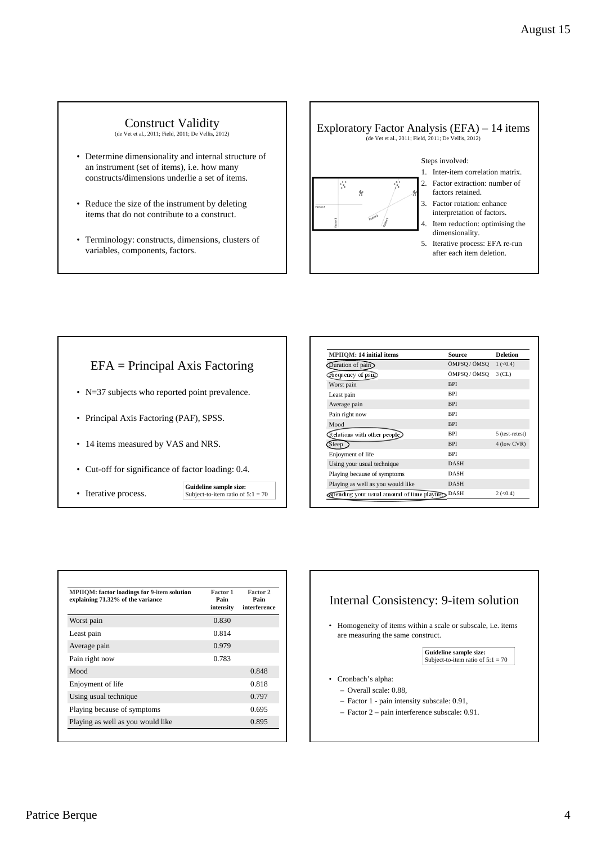# Construct Validity<br>(de Vet et al., 2011; Field, 2011; De Vellis, 2012)

- Determine dimensionality and internal structure of an instrument (set of items), i.e. how many constructs/dimensions underlie a set of items.
- Reduce the size of the instrument by deleting items that do not contribute to a construct.
- Terminology: constructs, dimensions, clusters of variables, components, factors.



## EFA = Principal Axis Factoring

- N=37 subjects who reported point prevalence.
- Principal Axis Factoring (PAF), SPSS.
- 14 items measured by VAS and NRS.
- Cut-off for significance of factor loading: 0.4.
- Iterative process.
- **Guideline sample size:** Subject-to-item ratio of  $5:1 = 70$

| <b>MPIIOM: 14 initial items</b>                    | <b>Source</b> | <b>Deletion</b> |
|----------------------------------------------------|---------------|-----------------|
| Duration of pain                                   | ÖMPSQ / ÖMSQ  | 1 (< 0.4)       |
| Frequency of pain                                  | ÖMPSO / ÖMSO  | $3$ (CL)        |
| Worst pain                                         | <b>BPI</b>    |                 |
| Least pain                                         | <b>BPI</b>    |                 |
| Average pain                                       | <b>BPI</b>    |                 |
| Pain right now                                     | <b>BPI</b>    |                 |
| Mood                                               | <b>BPI</b>    |                 |
| $\mathbb R$ elations with other people $\mathbb R$ | <b>BPI</b>    | 5 (test-retest) |
| Sleep                                              | <b>BPI</b>    | 4 (low CVR)     |
| Enjoyment of life                                  | <b>BPI</b>    |                 |
| Using your usual technique                         | <b>DASH</b>   |                 |
| Playing because of symptoms                        | <b>DASH</b>   |                 |
| Playing as well as you would like                  | <b>DASH</b>   |                 |
| Spending your usual amount of time playing         | <b>DASH</b>   | 2 (< 0.4)       |

| <b>MPIIOM:</b> factor loadings for 9-item solution<br>explaining 71.32% of the variance | Factor 1<br>Pain<br>intensity | Factor 2<br>Pain<br>interference |
|-----------------------------------------------------------------------------------------|-------------------------------|----------------------------------|
| Worst pain                                                                              | 0.830                         |                                  |
| Least pain                                                                              | 0.814                         |                                  |
| Average pain                                                                            | 0.979                         |                                  |
| Pain right now                                                                          | 0.783                         |                                  |
| Mood                                                                                    |                               | 0.848                            |
| Enjoyment of life                                                                       |                               | 0.818                            |
| Using usual technique                                                                   |                               | 0.797                            |
| Playing because of symptoms                                                             |                               | 0.695                            |
| Playing as well as you would like                                                       |                               | 0.895                            |

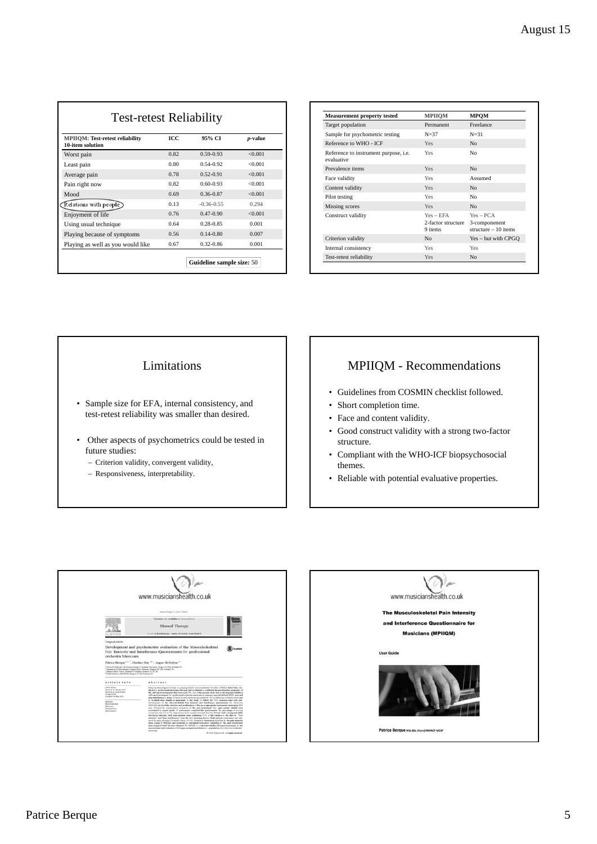| <b>Test-retest Reliability</b>    |      |                           |                 | <b>Measurement property tested</b>                  | <b>MPIIOM</b>      | <b>MPQM</b>    |
|-----------------------------------|------|---------------------------|-----------------|-----------------------------------------------------|--------------------|----------------|
|                                   |      |                           |                 | Target population                                   | Permanent          | Freelan        |
| MPIIOM: Test-retest reliability   | ICC  | 95% CI                    | <i>p</i> -value | Sample for psychometric testing                     | $N = 37$           | $N = 31$       |
| 10-item solution                  |      |                           |                 | Reference to WHO - ICF                              | Yes                | N <sub>o</sub> |
| Worst pain                        | 0.82 | $0.59 - 0.93$             | < 0.001         | Reference to instrument purpose, i.e.<br>evaluative | Yes                | No             |
| Least pain                        | 0.80 | 0.54-0.92                 | < 0.001         | Prevalence items                                    | Yes                | N <sub>o</sub> |
| Average pain                      | 0.78 | $0.52 - 0.91$             | < 0.001         | Face validity                                       | Yes                | Assume         |
| Pain right now                    | 0.82 | $0.60 - 0.93$             | < 0.001         | Content validity                                    | <b>Yes</b>         | N <sub>o</sub> |
| Mood                              | 0.69 | 0.36-0.87                 | < 0.001         | Pilot testing                                       | Yes                | No             |
| $\mathbb R$ elations with people  | 0.13 | $-0.36 - 0.55$            | 0.294           | Missing scores                                      | Yes                | N <sub>o</sub> |
| Enjoyment of life                 | 0.76 | $0.47 - 0.90$             | < 0.001         | Construct validity                                  | $Yes - EFA$        | $Yes - P$      |
| Using usual technique             | 0.64 | $0.28 - 0.85$             | 0.001           |                                                     | 2-factor structure | $3$ -compo     |
| Playing because of symptoms       | 0.56 | $0.14 - 0.80$             | 0.007           |                                                     | 9 items            | structur       |
| Playing as well as you would like | 0.67 | $0.32 - 0.86$             | 0.001           | Criterion validity                                  | N <sub>0</sub>     | $Yes - bi$     |
|                                   |      |                           |                 | Internal consistency                                | Yes                | Yes            |
|                                   |      | Guideline sample size: 50 |                 | Test-retest reliability                             | Yes                | N <sub>o</sub> |
|                                   |      |                           |                 |                                                     |                    |                |

| <b>Measurement property tested</b>                         | <b>MPIIOM</b>                                | <b>MPOM</b>                                           |
|------------------------------------------------------------|----------------------------------------------|-------------------------------------------------------|
| Target population                                          | Permanent                                    | Freelance                                             |
| Sample for psychometric testing                            | $N=37$                                       | $N = 31$                                              |
| Reference to WHO - ICF                                     | Yes                                          | No                                                    |
| Reference to instrument purpose, <i>i.e.</i><br>evaluative | Yes                                          | No                                                    |
| Prevalence items                                           | Yes                                          | No                                                    |
| Face validity                                              | Yes                                          | Assumed                                               |
| Content validity                                           | Yes                                          | No                                                    |
| Pilot testing                                              | Yes                                          | No                                                    |
| Missing scores                                             | Yes                                          | No                                                    |
| Construct validity                                         | $Yes - EFA$<br>2-factor structure<br>9 items | $Yes = PCA$<br>3-componenent<br>structure $-10$ items |
| Criterion validity                                         | No                                           | Yes – but with CPGQ                                   |
| Internal consistency                                       | Yes                                          | Yes                                                   |
| Test-retest reliability                                    | Yes                                          | No                                                    |

#### Limitations

- Sample size for EFA, internal consistency, and test-retest reliability was smaller than desired.
- Other aspects of psychometrics could be tested in future studies:
	- Criterion validity, convergent validity,
	- Responsiveness, interpretability.

# MPIIQM - Recommendations

- Guidelines from COSMIN checklist followed.
- Short completion time.
- Face and content validity.
- Good construct validity with a strong two-factor structure.
- Compliant with the WHO-ICF biopsychosocial themes.
- Reliable with potential evaluative properties.